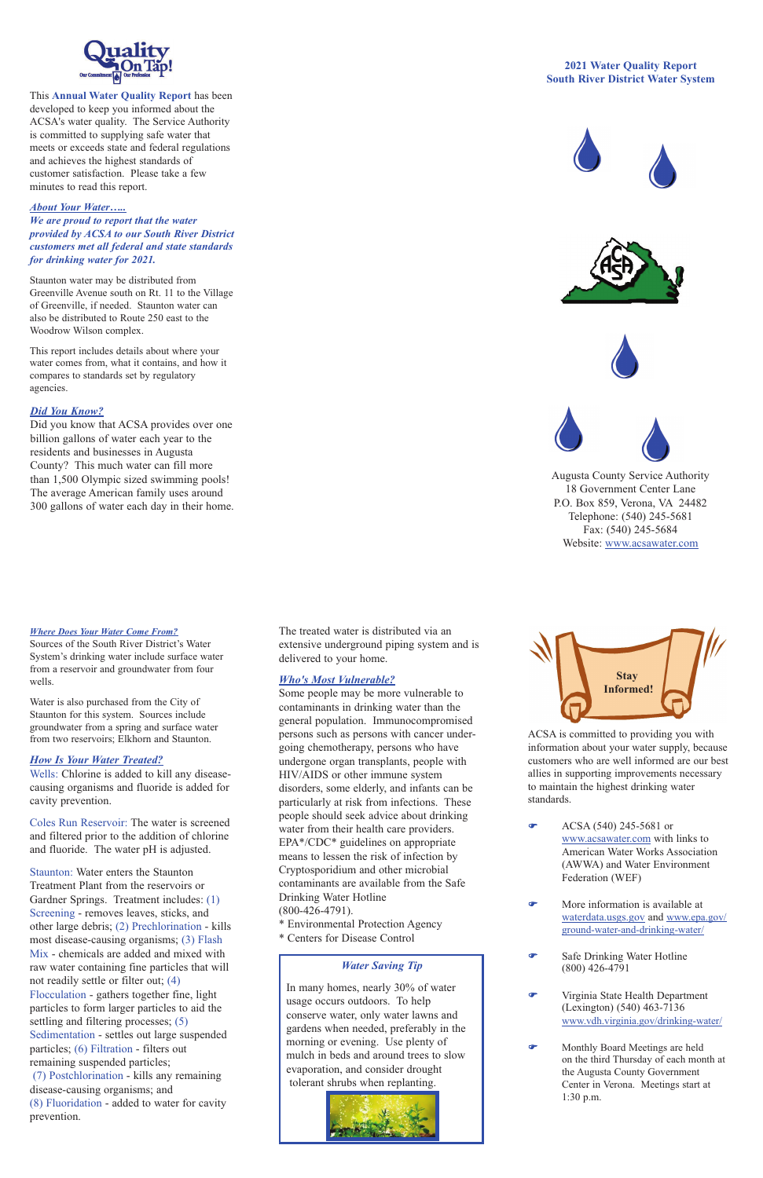### *Where Does Your Water Come From?*

Sources of the South River District's Water System's drinking water include surface water from a reservoir and groundwater from four wells.

Water is also purchased from the City of Staunton for this system. Sources include groundwater from a spring and surface water from two reservoirs; Elkhorn and Staunton.

## *How Is Your Water Treated?*

Wells: Chlorine is added to kill any diseasecausing organisms and fluoride is added for cavity prevention.

Coles Run Reservoir: The water is screened and filtered prior to the addition of chlorine and fluoride. The water pH is adjusted.

Staunton: Water enters the Staunton Treatment Plant from the reservoirs or Gardner Springs. Treatment includes: (1) Screening - removes leaves, sticks, and other large debris; (2) Prechlorination - kills most disease-causing organisms; (3) Flash Mix - chemicals are added and mixed with raw water containing fine particles that will not readily settle or filter out; (4) Flocculation - gathers together fine, light particles to form larger particles to aid the settling and filtering processes; (5) Sedimentation - settles out large suspended particles; (6) Filtration - filters out remaining suspended particles; (7) Postchlorination - kills any remaining disease-causing organisms; and (8) Fluoridation - added to water for cavity prevention.

The treated water is distributed via an extensive underground piping system and is delivered to your home.

## *Who's Most Vulnerable?*

Some people may be more vulnerable to contaminants in drinking water than the general population. Immunocompromised persons such as persons with cancer undergoing chemotherapy, persons who have undergone organ transplants, people with HIV/AIDS or other immune system disorders, some elderly, and infants can be particularly at risk from infections. These people should seek advice about drinking water from their health care providers. EPA\*/CDC\* guidelines on appropriate means to lessen the risk of infection by Cryptosporidium and other microbial contaminants are available from the Safe Drinking Water Hotline (800-426-4791). \* Environmental Protection Agency

\* Centers for Disease Control

ACSA is committed to providing you with information about your water supply, because customers who are well informed are our best allies in supporting improvements necessary to maintain the highest drinking water standards.

F ACSA (540) 245-5681 or www.acsawater.com with links to American Water Works Association (AWWA) and Water Environment

- Federation (WEF)
- F More information is available at waterdata.usgs.gov and www.epa.gov/ ground-water-and-drinking-water/
- **F** Safe Drinking Water Hotline (800) 426-4791
- F Virginia State Health Department (Lexington) (540) 463-7136 www.vdh.virginia.gov/drinking-water/
- **F** Monthly Board Meetings are held on the third Thursday of each month at the Augusta County Government Center in Verona. Meetings start at 1:30 p.m.



This **Annual Water Quality Report** has been developed to keep you informed about the ACSA's water quality. The Service Authority is committed to supplying safe water that meets or exceeds state and federal regulations and achieves the highest standards of customer satisfaction. Please take a few minutes to read this report.

## *About Your Water…..*

*We are proud to report that the water provided by ACSA to our South River District customers met all federal and state standards for drinking water for 2021.* 

Staunton water may be distributed from Greenville Avenue south on Rt. 11 to the Village of Greenville, if needed. Staunton water can also be distributed to Route 250 east to the Woodrow Wilson complex.

This report includes details about where your water comes from, what it contains, and how it compares to standards set by regulatory agencies.

# **2021 Water Quality Report South River District Water System**









Augusta County Service Authority 18 Government Center Lane P.O. Box 859, Verona, VA 24482 Telephone: (540) 245-5681 Fax: (540) 245-5684 Website: www.acsawater.com



## *Did You Know?*

Did you know that ACSA provides over one billion gallons of water each year to the residents and businesses in Augusta County? This much water can fill more than 1,500 Olympic sized swimming pools! The average American family uses around 300 gallons of water each day in their home.

# *Water Saving Tip*

In many homes, nearly 30% of water usage occurs outdoors. To help conserve water, only water lawns and gardens when needed, preferably in the morning or evening. Use plenty of mulch in beds and around trees to slow evaporation, and consider drought tolerant shrubs when replanting.